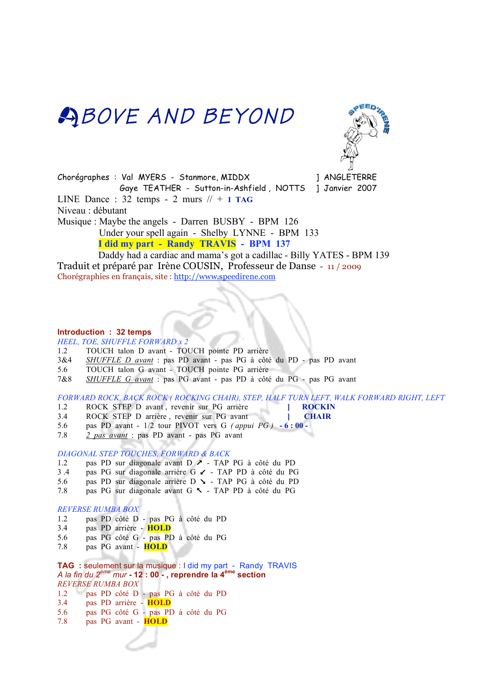## **ABOVE AND BEYOND**



Chorégraphes : Val MYERS - Stanmore, MIDDX ] ANGLETERRE Gaye TEATHER - Sutton-in-Ashfield , NOTTS ] Janvier 2007 LINE Dance :  $32$  temps - 2 murs  $\frac{1}{4}$  + 1 TAG Niveau : débutant Musique : Maybe the angels - Darren BUSBY - BPM 126 Under your spell again - Shelby LYNNE - BPM 133  **I did my part - Randy TRAVIS - BPM 137** 

 Daddy had a cardiac and mama's got a cadillac - Billy YATES - BPM 139 Traduit et préparé par Irène COUSIN, Professeur de Danse - 11 / 2009 Chorégraphies en français, site : http://www.speedirene.com

#### **Introduction : 32 temps**

*HEEL, TOE, SHUFFLE FORWARD x 2*

- 1.2 TOUCH talon D avant TOUCH pointe PD arrière
- 3&4 *SHUFFLE D avant* : pas PD avant pas PG à côté du PD pas PD avant
- 5.6 TOUCH talon G avant TOUCH pointe PG arrière
- 7&8 *SHUFFLE G avant* : pas PG avant pas PD à côté du PG pas PG avant

*FORWARD ROCK, BACK ROCK ( ROCKING CHAIR), STEP, HALF TURN LEFT, WALK FORWARD RIGHT, LEFT*

- 1.2 ROCK STEP D avant , revenir sur PG arrière **] ROCKIN**
- 3.4 ROCK STEP D arrière , revenir sur PG avant **| CHAIR**
- 5.6 pas PD avant 1/2 tour PIVOT vers G *( appui PG )*  **6 : 00 -**
- 7.8 *2 pas avant* : pas PD avant pas PG avant

#### *DIAGONAL STEP TOUCHES, FORWARD & BACK*

- 1.2 pas PD sur diagonale avant D  $\ge$  TAP PG à côté du PD
- 3.4 pas PG sur diagonale arrière G  $\angle$  TAP PD à côté du PG<br>5.6 pas PD sur diagonale arrière D  $\angle$  TAP PG à côté du PD
- pas PD sur diagonale arrière D  $\sim$  TAP PG à côté du PD
- 7.8 pas PG sur diagonale avant G < TAP PD à côté du PG

#### *REVERSE RUMBA BOX*

- 1.2 pas PD côté D pas PG à côté du PD
- 3.4 pas PD arrière **HOLD**
- 5.6 pas PG côté G pas PD à côté du PG
- 7.8 pas PG avant **HOLD**

**TAG :** seulement sur la musique : I did my part - Randy TRAVIS *A la fin du 2ème mur* **- 12 : 00 - , reprendre la 4ème section** *REVERSE RUMBA BOX* 1.2 pas PD côté D - pas PG à côté du PD

- 3.4 pas PD arrière **HOLD**
- 5.6 pas PG côté G pas PD à côté du PG
- 7.8 pas PG avant **HOLD**